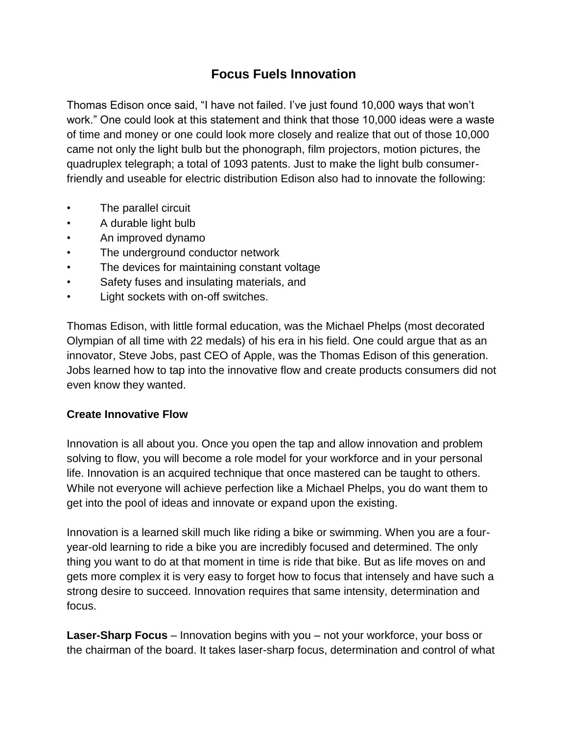## **Focus Fuels Innovation**

Thomas Edison once said, "I have not failed. I've just found 10,000 ways that won't work." One could look at this statement and think that those 10,000 ideas were a waste of time and money or one could look more closely and realize that out of those 10,000 came not only the light bulb but the phonograph, film projectors, motion pictures, the quadruplex telegraph; a total of 1093 patents. Just to make the light bulb consumerfriendly and useable for electric distribution Edison also had to innovate the following:

- The parallel circuit
- A durable light bulb
- An improved dynamo
- The underground conductor network
- The devices for maintaining constant voltage
- Safety fuses and insulating materials, and
- Light sockets with on-off switches.

Thomas Edison, with little formal education, was the Michael Phelps (most decorated Olympian of all time with 22 medals) of his era in his field. One could argue that as an innovator, Steve Jobs, past CEO of Apple, was the Thomas Edison of this generation. Jobs learned how to tap into the innovative flow and create products consumers did not even know they wanted.

## **Create Innovative Flow**

Innovation is all about you. Once you open the tap and allow innovation and problem solving to flow, you will become a role model for your workforce and in your personal life. Innovation is an acquired technique that once mastered can be taught to others. While not everyone will achieve perfection like a Michael Phelps, you do want them to get into the pool of ideas and innovate or expand upon the existing.

Innovation is a learned skill much like riding a bike or swimming. When you are a fouryear-old learning to ride a bike you are incredibly focused and determined. The only thing you want to do at that moment in time is ride that bike. But as life moves on and gets more complex it is very easy to forget how to focus that intensely and have such a strong desire to succeed. Innovation requires that same intensity, determination and focus.

**Laser-Sharp Focus** – Innovation begins with you – not your workforce, your boss or the chairman of the board. It takes laser-sharp focus, determination and control of what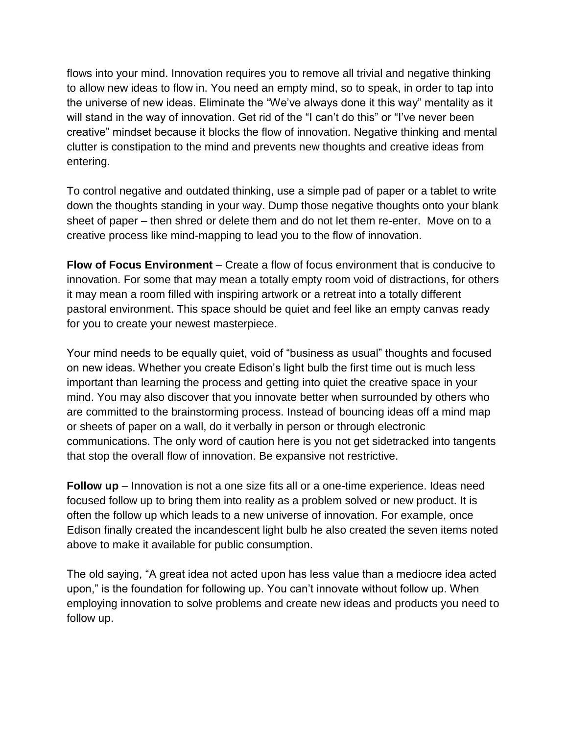flows into your mind. Innovation requires you to remove all trivial and negative thinking to allow new ideas to flow in. You need an empty mind, so to speak, in order to tap into the universe of new ideas. Eliminate the "We've always done it this way" mentality as it will stand in the way of innovation. Get rid of the "I can't do this" or "I've never been creative" mindset because it blocks the flow of innovation. Negative thinking and mental clutter is constipation to the mind and prevents new thoughts and creative ideas from entering.

To control negative and outdated thinking, use a simple pad of paper or a tablet to write down the thoughts standing in your way. Dump those negative thoughts onto your blank sheet of paper – then shred or delete them and do not let them re-enter. Move on to a creative process like mind-mapping to lead you to the flow of innovation.

**Flow of Focus Environment** – Create a flow of focus environment that is conducive to innovation. For some that may mean a totally empty room void of distractions, for others it may mean a room filled with inspiring artwork or a retreat into a totally different pastoral environment. This space should be quiet and feel like an empty canvas ready for you to create your newest masterpiece.

Your mind needs to be equally quiet, void of "business as usual" thoughts and focused on new ideas. Whether you create Edison's light bulb the first time out is much less important than learning the process and getting into quiet the creative space in your mind. You may also discover that you innovate better when surrounded by others who are committed to the brainstorming process. Instead of bouncing ideas off a mind map or sheets of paper on a wall, do it verbally in person or through electronic communications. The only word of caution here is you not get sidetracked into tangents that stop the overall flow of innovation. Be expansive not restrictive.

**Follow up** – Innovation is not a one size fits all or a one-time experience. Ideas need focused follow up to bring them into reality as a problem solved or new product. It is often the follow up which leads to a new universe of innovation. For example, once Edison finally created the incandescent light bulb he also created the seven items noted above to make it available for public consumption.

The old saying, "A great idea not acted upon has less value than a mediocre idea acted upon," is the foundation for following up. You can't innovate without follow up. When employing innovation to solve problems and create new ideas and products you need to follow up.